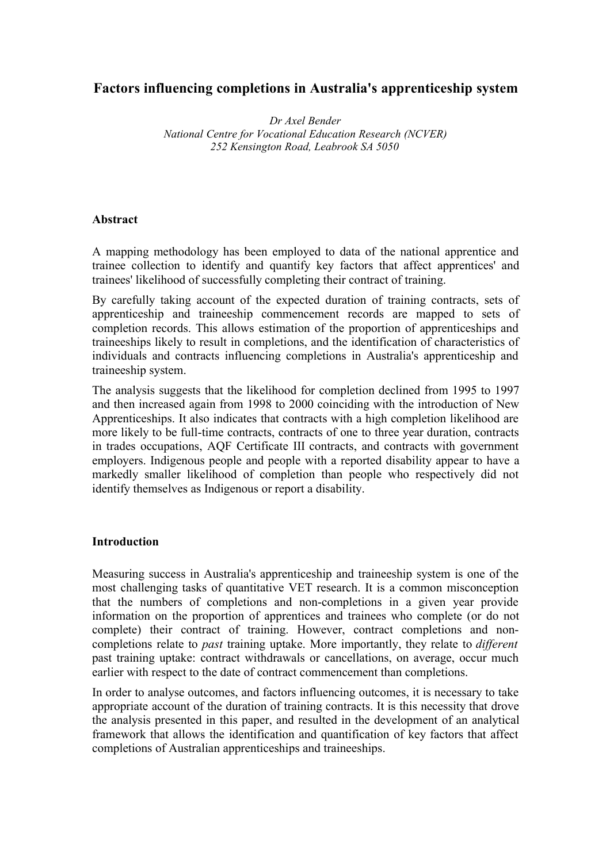# **Factors influencing completions in Australia's apprenticeship system**

*Dr Axel Bender National Centre for Vocational Education Research (NCVER) 252 Kensington Road, Leabrook SA 5050*

### **Abstract**

A mapping methodology has been employed to data of the national apprentice and trainee collection to identify and quantify key factors that affect apprentices' and trainees' likelihood of successfully completing their contract of training.

By carefully taking account of the expected duration of training contracts, sets of apprenticeship and traineeship commencement records are mapped to sets of completion records. This allows estimation of the proportion of apprenticeships and traineeships likely to result in completions, and the identification of characteristics of individuals and contracts influencing completions in Australia's apprenticeship and traineeship system.

The analysis suggests that the likelihood for completion declined from 1995 to 1997 and then increased again from 1998 to 2000 coinciding with the introduction of New Apprenticeships. It also indicates that contracts with a high completion likelihood are more likely to be full-time contracts, contracts of one to three year duration, contracts in trades occupations, AQF Certificate III contracts, and contracts with government employers. Indigenous people and people with a reported disability appear to have a markedly smaller likelihood of completion than people who respectively did not identify themselves as Indigenous or report a disability.

#### **Introduction**

Measuring success in Australia's apprenticeship and traineeship system is one of the most challenging tasks of quantitative VET research. It is a common misconception that the numbers of completions and non-completions in a given year provide information on the proportion of apprentices and trainees who complete (or do not complete) their contract of training. However, contract completions and noncompletions relate to *past* training uptake. More importantly, they relate to *different* past training uptake: contract withdrawals or cancellations, on average, occur much earlier with respect to the date of contract commencement than completions.

In order to analyse outcomes, and factors influencing outcomes, it is necessary to take appropriate account of the duration of training contracts. It is this necessity that drove the analysis presented in this paper, and resulted in the development of an analytical framework that allows the identification and quantification of key factors that affect completions of Australian apprenticeships and traineeships.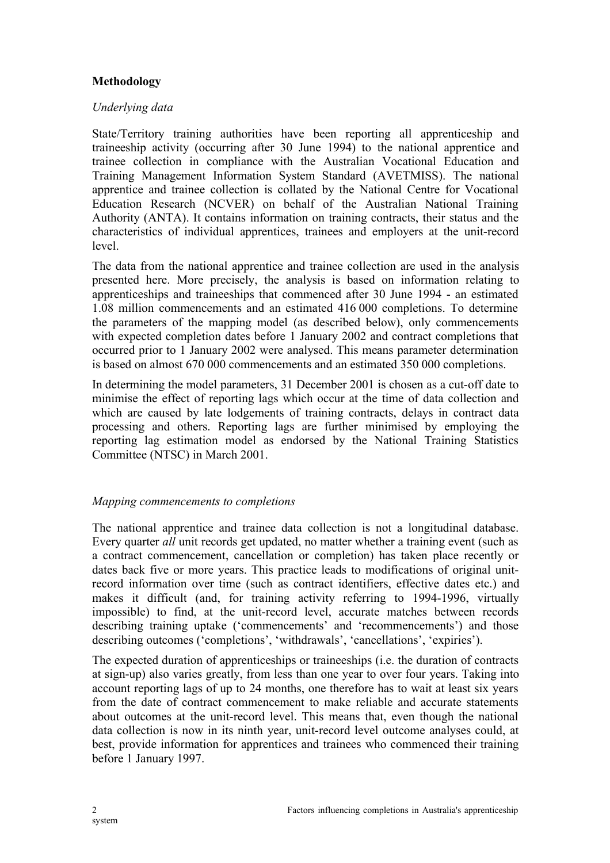# **Methodology**

## *Underlying data*

State/Territory training authorities have been reporting all apprenticeship and traineeship activity (occurring after 30 June 1994) to the national apprentice and trainee collection in compliance with the Australian Vocational Education and Training Management Information System Standard (AVETMISS). The national apprentice and trainee collection is collated by the National Centre for Vocational Education Research (NCVER) on behalf of the Australian National Training Authority (ANTA). It contains information on training contracts, their status and the characteristics of individual apprentices, trainees and employers at the unit-record level.

The data from the national apprentice and trainee collection are used in the analysis presented here. More precisely, the analysis is based on information relating to apprenticeships and traineeships that commenced after 30 June 1994 - an estimated 1.08 million commencements and an estimated 416 000 completions. To determine the parameters of the mapping model (as described below), only commencements with expected completion dates before 1 January 2002 and contract completions that occurred prior to 1 January 2002 were analysed. This means parameter determination is based on almost 670 000 commencements and an estimated 350 000 completions.

In determining the model parameters, 31 December 2001 is chosen as a cut-off date to minimise the effect of reporting lags which occur at the time of data collection and which are caused by late lodgements of training contracts, delays in contract data processing and others. Reporting lags are further minimised by employing the reporting lag estimation model as endorsed by the National Training Statistics Committee (NTSC) in March 2001.

## *Mapping commencements to completions*

The national apprentice and trainee data collection is not a longitudinal database. Every quarter *all* unit records get updated, no matter whether a training event (such as a contract commencement, cancellation or completion) has taken place recently or dates back five or more years. This practice leads to modifications of original unitrecord information over time (such as contract identifiers, effective dates etc.) and makes it difficult (and, for training activity referring to 1994-1996, virtually impossible) to find, at the unit-record level, accurate matches between records describing training uptake ('commencements' and 'recommencements') and those describing outcomes ('completions', 'withdrawals', 'cancellations', 'expiries').

The expected duration of apprenticeships or traineeships (i.e. the duration of contracts at sign-up) also varies greatly, from less than one year to over four years. Taking into account reporting lags of up to 24 months, one therefore has to wait at least six years from the date of contract commencement to make reliable and accurate statements about outcomes at the unit-record level. This means that, even though the national data collection is now in its ninth year, unit-record level outcome analyses could, at best, provide information for apprentices and trainees who commenced their training before 1 January 1997.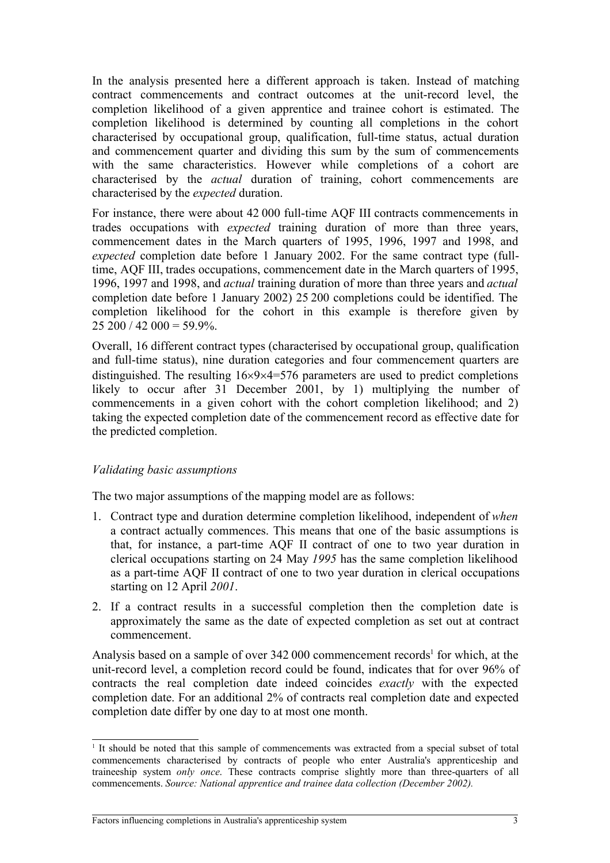In the analysis presented here a different approach is taken. Instead of matching contract commencements and contract outcomes at the unit-record level, the completion likelihood of a given apprentice and trainee cohort is estimated. The completion likelihood is determined by counting all completions in the cohort characterised by occupational group, qualification, full-time status, actual duration and commencement quarter and dividing this sum by the sum of commencements with the same characteristics. However while completions of a cohort are characterised by the *actual* duration of training, cohort commencements are characterised by the *expected* duration.

For instance, there were about 42 000 full-time AQF III contracts commencements in trades occupations with *expected* training duration of more than three years, commencement dates in the March quarters of 1995, 1996, 1997 and 1998, and *expected* completion date before 1 January 2002. For the same contract type (fulltime, AQF III, trades occupations, commencement date in the March quarters of 1995, 1996, 1997 and 1998, and *actual* training duration of more than three years and *actual* completion date before 1 January 2002) 25 200 completions could be identified. The completion likelihood for the cohort in this example is therefore given by  $25\,200/42\,000 = 59.9\%$ 

Overall, 16 different contract types (characterised by occupational group, qualification and full-time status), nine duration categories and four commencement quarters are distinguished. The resulting  $16\times9\times4=576$  parameters are used to predict completions likely to occur after 31 December 2001, by 1) multiplying the number of commencements in a given cohort with the cohort completion likelihood; and 2) taking the expected completion date of the commencement record as effective date for the predicted completion.

## *Validating basic assumptions*

The two major assumptions of the mapping model are as follows:

- 1. Contract type and duration determine completion likelihood, independent of *when* a contract actually commences. This means that one of the basic assumptions is that, for instance, a part-time AQF II contract of one to two year duration in clerical occupations starting on 24 May *1995* has the same completion likelihood as a part-time AQF II contract of one to two year duration in clerical occupations starting on 12 April *2001*.
- 2. If a contract results in a successful completion then the completion date is approximately the same as the date of expected completion as set out at contract commencement.

Analysis based on a sample of over 342 000 commencement records<sup>1</sup> for which, at the unit-record level, a completion record could be found, indicates that for over 96% of contracts the real completion date indeed coincides *exactly* with the expected completion date. For an additional 2% of contracts real completion date and expected completion date differ by one day to at most one month.

<sup>1</sup> It should be noted that this sample of commencements was extracted from a special subset of total commencements characterised by contracts of people who enter Australia's apprenticeship and traineeship system *only once*. These contracts comprise slightly more than three-quarters of all commencements. *Source: National apprentice and trainee data collection (December 2002).*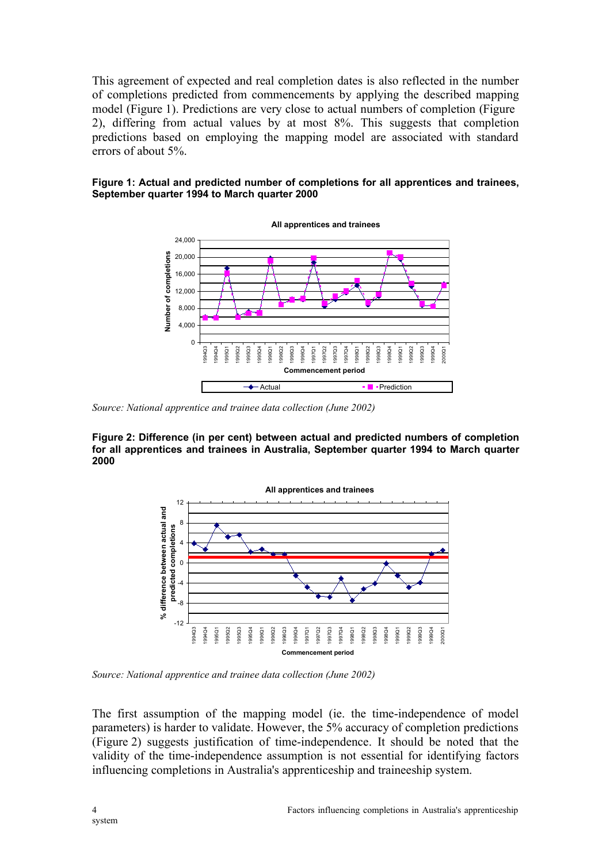This agreement of expected and real completion dates is also reflected in the number of completions predicted from commencements by applying the described mapping model (Figure 1). Predictions are very close to actual numbers of completion (Figure 2), differing from actual values by at most 8%. This suggests that completion predictions based on employing the mapping model are associated with standard errors of about 5%.





*Source: National apprentice and trainee data collection (June 2002)*

**Figure 2: Difference (in per cent) between actual and predicted numbers of completion for all apprentices and trainees in Australia, September quarter 1994 to March quarter 2000**



*Source: National apprentice and trainee data collection (June 2002)*

The first assumption of the mapping model (ie. the time-independence of model parameters) is harder to validate. However, the 5% accuracy of completion predictions (Figure 2) suggests justification of time-independence. It should be noted that the validity of the time-independence assumption is not essential for identifying factors influencing completions in Australia's apprenticeship and traineeship system.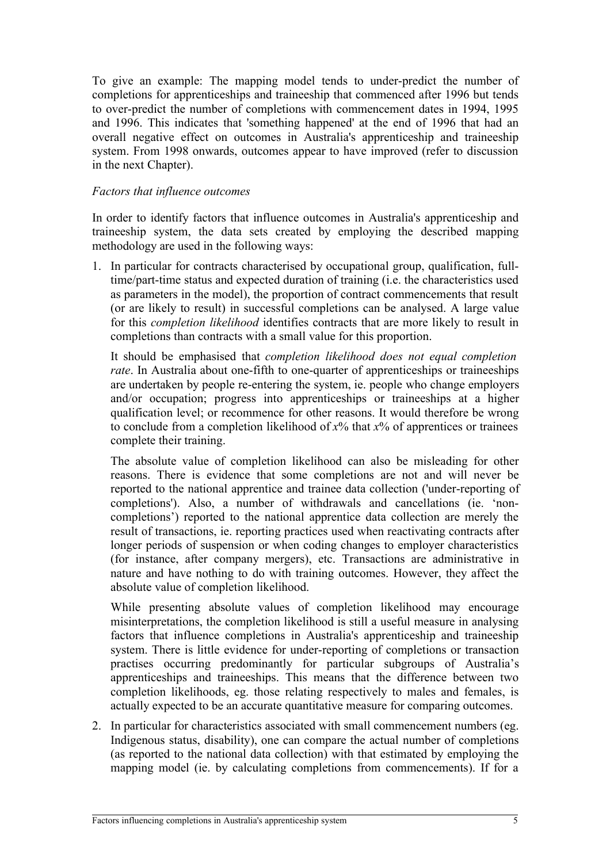To give an example: The mapping model tends to under-predict the number of completions for apprenticeships and traineeship that commenced after 1996 but tends to over-predict the number of completions with commencement dates in 1994, 1995 and 1996. This indicates that 'something happened' at the end of 1996 that had an overall negative effect on outcomes in Australia's apprenticeship and traineeship system. From 1998 onwards, outcomes appear to have improved (refer to discussion in the next Chapter).

## *Factors that influence outcomes*

In order to identify factors that influence outcomes in Australia's apprenticeship and traineeship system, the data sets created by employing the described mapping methodology are used in the following ways:

1. In particular for contracts characterised by occupational group, qualification, fulltime/part-time status and expected duration of training (i.e. the characteristics used as parameters in the model), the proportion of contract commencements that result (or are likely to result) in successful completions can be analysed. A large value for this *completion likelihood* identifies contracts that are more likely to result in completions than contracts with a small value for this proportion.

It should be emphasised that *completion likelihood does not equal completion rate*. In Australia about one-fifth to one-quarter of apprenticeships or traineeships are undertaken by people re-entering the system, ie. people who change employers and/or occupation; progress into apprenticeships or traineeships at a higher qualification level; or recommence for other reasons. It would therefore be wrong to conclude from a completion likelihood of *x*% that *x*% of apprentices or trainees complete their training.

The absolute value of completion likelihood can also be misleading for other reasons. There is evidence that some completions are not and will never be reported to the national apprentice and trainee data collection ('under-reporting of completions'). Also, a number of withdrawals and cancellations (ie. 'noncompletions') reported to the national apprentice data collection are merely the result of transactions, ie. reporting practices used when reactivating contracts after longer periods of suspension or when coding changes to employer characteristics (for instance, after company mergers), etc. Transactions are administrative in nature and have nothing to do with training outcomes. However, they affect the absolute value of completion likelihood.

While presenting absolute values of completion likelihood may encourage misinterpretations, the completion likelihood is still a useful measure in analysing factors that influence completions in Australia's apprenticeship and traineeship system. There is little evidence for under-reporting of completions or transaction practises occurring predominantly for particular subgroups of Australia's apprenticeships and traineeships. This means that the difference between two completion likelihoods, eg. those relating respectively to males and females, is actually expected to be an accurate quantitative measure for comparing outcomes.

2. In particular for characteristics associated with small commencement numbers (eg. Indigenous status, disability), one can compare the actual number of completions (as reported to the national data collection) with that estimated by employing the mapping model (ie. by calculating completions from commencements). If for a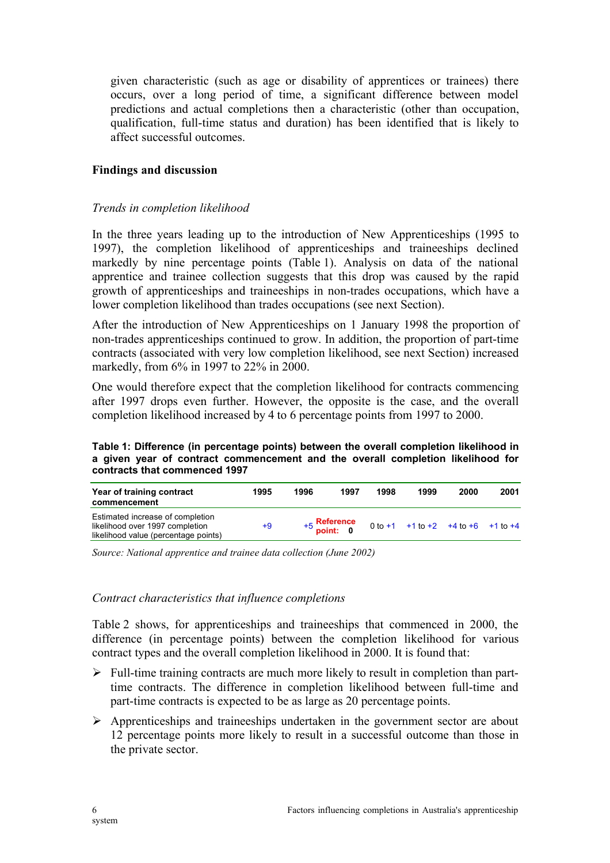given characteristic (such as age or disability of apprentices or trainees) there occurs, over a long period of time, a significant difference between model predictions and actual completions then a characteristic (other than occupation, qualification, full-time status and duration) has been identified that is likely to affect successful outcomes.

### **Findings and discussion**

### *Trends in completion likelihood*

In the three years leading up to the introduction of New Apprenticeships (1995 to 1997), the completion likelihood of apprenticeships and traineeships declined markedly by nine percentage points (Table 1). Analysis on data of the national apprentice and trainee collection suggests that this drop was caused by the rapid growth of apprenticeships and traineeships in non-trades occupations, which have a lower completion likelihood than trades occupations (see next Section).

After the introduction of New Apprenticeships on 1 January 1998 the proportion of non-trades apprenticeships continued to grow. In addition, the proportion of part-time contracts (associated with very low completion likelihood, see next Section) increased markedly, from 6% in 1997 to 22% in 2000.

One would therefore expect that the completion likelihood for contracts commencing after 1997 drops even further. However, the opposite is the case, and the overall completion likelihood increased by 4 to 6 percentage points from 1997 to 2000.

**Table 1: Difference (in percentage points) between the overall completion likelihood in a given year of contract commencement and the overall completion likelihood for contracts that commenced 1997**

| Year of training contract<br>commencement                                                                   | 1995 | 1996          | 1997      | 1998 | 1999                               | 2000 | 2001 |
|-------------------------------------------------------------------------------------------------------------|------|---------------|-----------|------|------------------------------------|------|------|
| Estimated increase of completion<br>likelihood over 1997 completion<br>likelihood value (percentage points) | +9   | $+5$ point: 0 | Reference |      | 0 to +1 +1 to +2 +4 to +6 +1 to +4 |      |      |

*Source: National apprentice and trainee data collection (June 2002)*

#### *Contract characteristics that influence completions*

Table 2 shows, for apprenticeships and traineeships that commenced in 2000, the difference (in percentage points) between the completion likelihood for various contract types and the overall completion likelihood in 2000. It is found that:

- $\triangleright$  Full-time training contracts are much more likely to result in completion than parttime contracts. The difference in completion likelihood between full-time and part-time contracts is expected to be as large as 20 percentage points.
- $\triangleright$  Apprenticeships and traineeships undertaken in the government sector are about 12 percentage points more likely to result in a successful outcome than those in the private sector.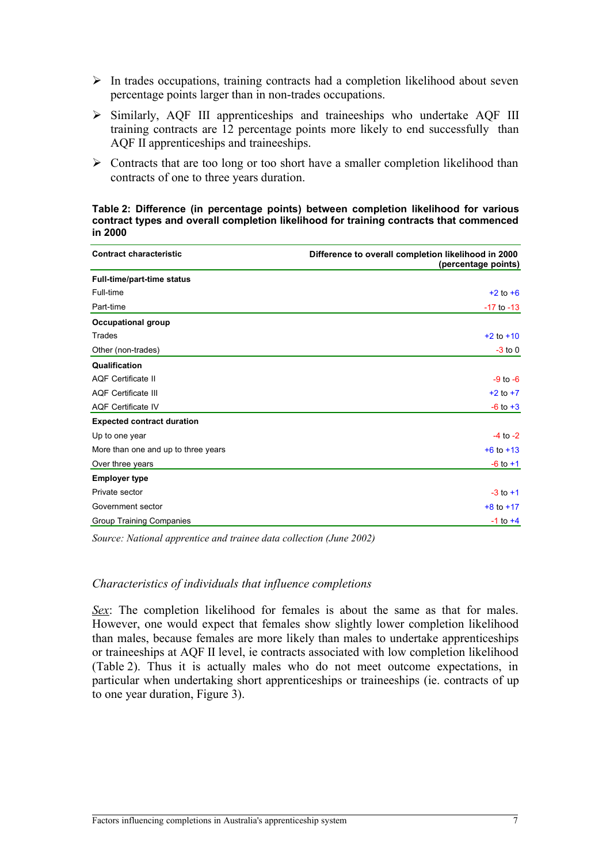- $\triangleright$  In trades occupations, training contracts had a completion likelihood about seven percentage points larger than in non-trades occupations.
- Similarly, AQF III apprenticeships and traineeships who undertake AQF III training contracts are 12 percentage points more likely to end successfully than AQF II apprenticeships and traineeships.
- $\triangleright$  Contracts that are too long or too short have a smaller completion likelihood than contracts of one to three years duration.

**Table 2: Difference (in percentage points) between completion likelihood for various contract types and overall completion likelihood for training contracts that commenced in 2000**

| <b>Contract characteristic</b>      | Difference to overall completion likelihood in 2000<br>(percentage points) |
|-------------------------------------|----------------------------------------------------------------------------|
| <b>Full-time/part-time status</b>   |                                                                            |
| Full-time                           | $+2$ to $+6$                                                               |
| Part-time                           | $-17$ to $-13$                                                             |
| <b>Occupational group</b>           |                                                                            |
| Trades                              | $+2$ to $+10$                                                              |
| Other (non-trades)                  | $-3$ to 0                                                                  |
| Qualification                       |                                                                            |
| <b>AQF Certificate II</b>           | $-9$ to $-6$                                                               |
| <b>AQF Certificate III</b>          | $+2$ to $+7$                                                               |
| <b>AQF Certificate IV</b>           | $-6$ to $+3$                                                               |
| <b>Expected contract duration</b>   |                                                                            |
| Up to one year                      | $-4$ to $-2$                                                               |
| More than one and up to three years | $+6$ to $+13$                                                              |
| Over three years                    | $-6$ to $+1$                                                               |
| <b>Employer type</b>                |                                                                            |
| Private sector                      | $-3$ to $+1$                                                               |
| Government sector                   | $+8$ to $+17$                                                              |
| Group Training Companies            | $-1$ to $+4$                                                               |

*Source: National apprentice and trainee data collection (June 2002)*

#### *Characteristics of individuals that influence completions*

*Sex*: The completion likelihood for females is about the same as that for males. However, one would expect that females show slightly lower completion likelihood than males, because females are more likely than males to undertake apprenticeships or traineeships at AQF II level, ie contracts associated with low completion likelihood (Table 2). Thus it is actually males who do not meet outcome expectations, in particular when undertaking short apprenticeships or traineeships (ie. contracts of up to one year duration, Figure 3).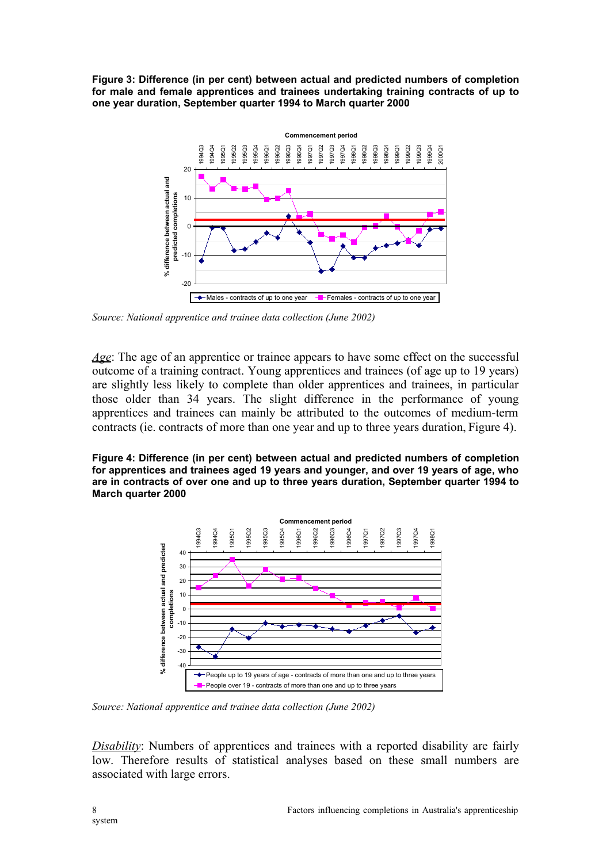**Figure 3: Difference (in per cent) between actual and predicted numbers of completion for male and female apprentices and trainees undertaking training contracts of up to one year duration, September quarter 1994 to March quarter 2000**



*Source: National apprentice and trainee data collection (June 2002)*

*Age*: The age of an apprentice or trainee appears to have some effect on the successful outcome of a training contract. Young apprentices and trainees (of age up to 19 years) are slightly less likely to complete than older apprentices and trainees, in particular those older than 34 years. The slight difference in the performance of young apprentices and trainees can mainly be attributed to the outcomes of medium-term contracts (ie. contracts of more than one year and up to three years duration, Figure 4).

**Figure 4: Difference (in per cent) between actual and predicted numbers of completion for apprentices and trainees aged 19 years and younger, and over 19 years of age, who are in contracts of over one and up to three years duration, September quarter 1994 to March quarter 2000**



*Source: National apprentice and trainee data collection (June 2002)*

*Disability*: Numbers of apprentices and trainees with a reported disability are fairly low. Therefore results of statistical analyses based on these small numbers are associated with large errors.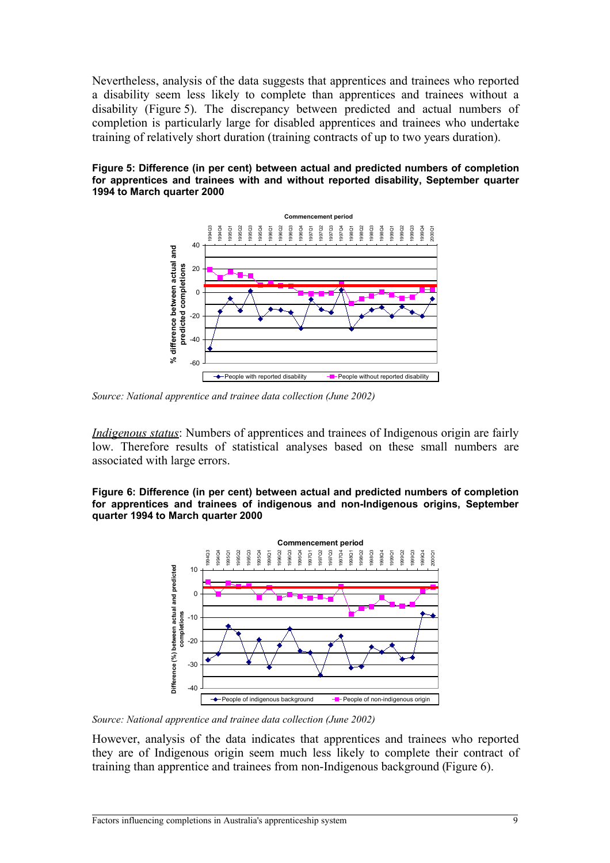Nevertheless, analysis of the data suggests that apprentices and trainees who reported a disability seem less likely to complete than apprentices and trainees without a disability (Figure 5). The discrepancy between predicted and actual numbers of completion is particularly large for disabled apprentices and trainees who undertake training of relatively short duration (training contracts of up to two years duration).





*Source: National apprentice and trainee data collection (June 2002)*

*Indigenous status*: Numbers of apprentices and trainees of Indigenous origin are fairly low. Therefore results of statistical analyses based on these small numbers are associated with large errors.

**Figure 6: Difference (in per cent) between actual and predicted numbers of completion for apprentices and trainees of indigenous and non-Indigenous origins, September quarter 1994 to March quarter 2000**



*Source: National apprentice and trainee data collection (June 2002)*

However, analysis of the data indicates that apprentices and trainees who reported they are of Indigenous origin seem much less likely to complete their contract of training than apprentice and trainees from non-Indigenous background (Figure 6).